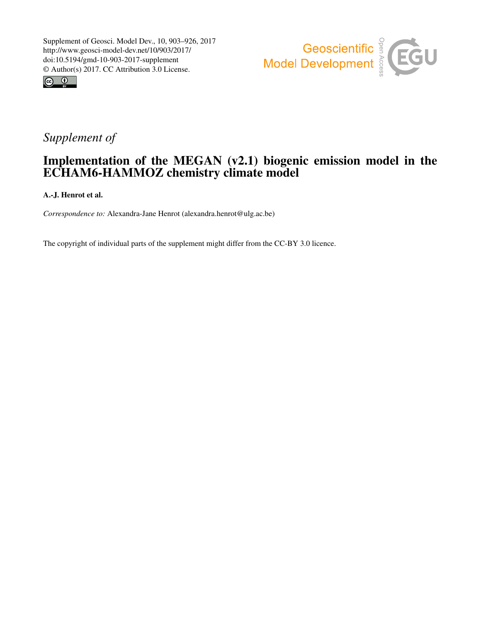



# *Supplement of*

# Implementation of the MEGAN (v2.1) biogenic emission model in the ECHAM6-HAMMOZ chemistry climate model

A.-J. Henrot et al.

*Correspondence to:* Alexandra-Jane Henrot (alexandra.henrot@ulg.ac.be)

The copyright of individual parts of the supplement might differ from the CC-BY 3.0 licence.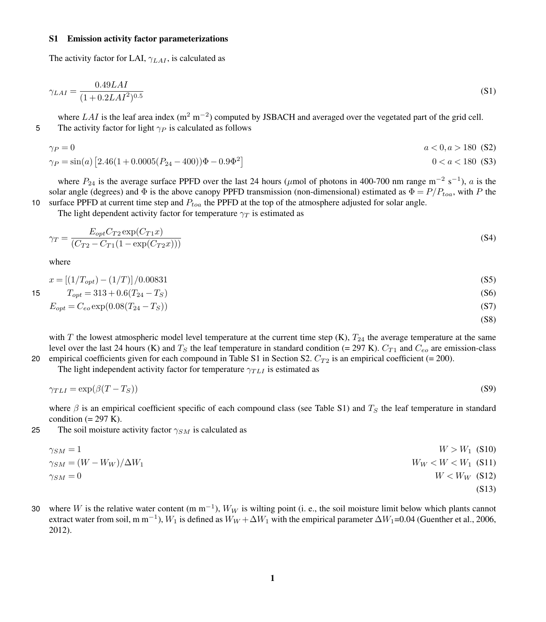#### S1 Emission activity factor parameterizations

The activity factor for LAI,  $\gamma_{LAT}$ , is calculated as

$$
\gamma_{LAI} = \frac{0.49LAI}{(1 + 0.2LAI^2)^{0.5}}\tag{S1}
$$

where  $LAI$  is the leaf area index (m<sup>2</sup> m<sup>-2</sup>) computed by JSBACH and averaged over the vegetated part of the grid cell. 5 The activity factor for light  $\gamma_P$  is calculated as follows

$$
\gamma_P = 0
$$
  
\n
$$
\gamma_P = \sin(a) \left[ 2.46(1 + 0.0005(P_{24} - 400))\Phi - 0.9\Phi^2 \right]
$$
  
\n
$$
0 < a < 180
$$
 (S2)  
\n
$$
0 < a < 180
$$
 (S3)

where  $P_{24}$  is the average surface PPFD over the last 24 hours ( $\mu$ mol of photons in 400-700 nm range m<sup>-2</sup> s<sup>-1</sup>), a is the solar angle (degrees) and  $\Phi$  is the above canopy PPFD transmission (non-dimensional) estimated as  $\Phi = P/P_{toa}$ , with P the 10 surface PPFD at current time step and  $P_{toa}$  the PPFD at the top of the atmosphere adjusted for solar angle.

The light dependent activity factor for temperature  $\gamma_T$  is estimated as

$$
\gamma_T = \frac{E_{opt} C_{T2} \exp(C_{T1} x)}{(C_{T2} - C_{T1} (1 - \exp(C_{T2} x)))}
$$
\n(S4)

where

$$
x = \left[ \frac{1}{T_{opt}} \right] - \frac{1}{T} \right] / 0.00831 \tag{S5}
$$

$$
T_{opt} = 313 + 0.6(T_{24} - T_S) \tag{S6}
$$

$$
E_{opt} = C_{eo} \exp(0.08(T_{24} - T_S))
$$
\n<sup>(S7)</sup>

(S8)

with T the lowest atmospheric model level temperature at the current time step  $(K)$ ,  $T_{24}$  the average temperature at the same level over the last 24 hours (K) and  $T_S$  the leaf temperature in standard condition (= 297 K).  $C_{T1}$  and  $C_{eo}$  are emission-class 20 empirical coefficients given for each compound in Table [S1](#page-2-0) in Section [S2.](#page-2-1)  $C_{T2}$  is an empirical coefficient (= 200).

The light independent activity factor for temperature  $\gamma_{TLI}$  is estimated as

$$
\gamma_{TLI} = \exp(\beta (T - T_S))\tag{S9}
$$

where  $\beta$  is an empirical coefficient specific of each compound class (see Table [S1\)](#page-2-0) and  $T<sub>S</sub>$  the leaf temperature in standard condition  $(= 297 \text{ K})$ .

25 The soil moisture activity factor  $\gamma_{SM}$  is calculated as

$$
\gamma_{SM} = 1
$$
\n
$$
\gamma_{SM} = (W - W_W)/\Delta W_1
$$
\n
$$
\gamma_{SM} = 0
$$
\n
$$
W > W_1
$$
\n(S10)\n
$$
W_W < W < W_1
$$
\n(S11)\n
$$
W = W_1
$$
\n(S12)\n(S13)

30 where W is the relative water content (m m<sup>-1</sup>),  $W_W$  is wilting point (i. e., the soil moisture limit below which plants cannot extract water from soil, m m<sup>-1</sup>),  $W_1$  is defined as  $W_W + \Delta W_1$  with the empirical parameter  $\Delta W_1$ =0.04 [\(Guenther et al., 2006,](#page-5-0) [2012\)](#page-5-1).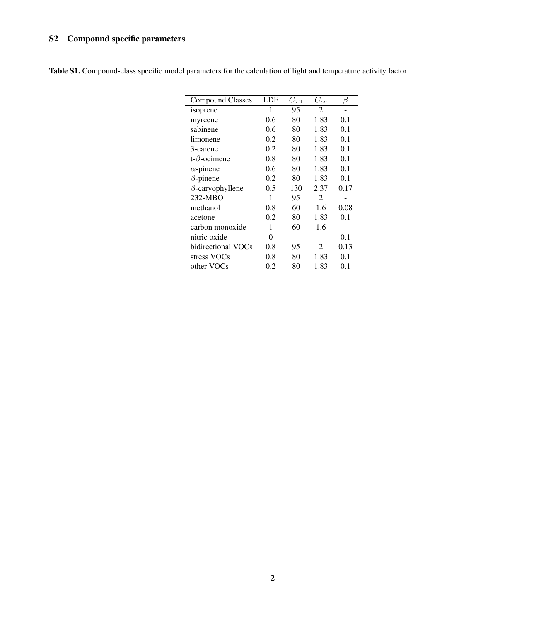### <span id="page-2-1"></span>S2 Compound specific parameters

| <b>Compound Classes</b> | LDF | $C_{T1}$ | $C_{eo}$       | β    |
|-------------------------|-----|----------|----------------|------|
| isoprene                | 1   | 95       | $\overline{c}$ |      |
| myrcene                 | 0.6 | 80       | 1.83           | 0.1  |
| sabinene                | 0.6 | 80       | 1.83           | 0.1  |
| limonene                | 0.2 | 80       | 1.83           | 0.1  |
| 3-carene                | 0.2 | 80       | 1.83           | 0.1  |
| $t-\beta$ -ocimene      | 0.8 | 80       | 1.83           | 0.1  |
| $\alpha$ -pinene        | 0.6 | 80       | 1.83           | 0.1  |
| $\beta$ -pinene         | 0.2 | 80       | 1.83           | 0.1  |
| $\beta$ -caryophyllene  | 0.5 | 130      | 2.37           | 0.17 |
| 232-MBO                 | 1   | 95       | $\overline{c}$ |      |
| methanol                | 0.8 | 60       | 1.6            | 0.08 |
| acetone                 | 0.2 | 80       | 1.83           | 0.1  |
| carbon monoxide         | 1   | 60       | 1.6            |      |
| nitric oxide            | 0   |          |                | 0.1  |
| bidirectional VOCs      | 0.8 | 95       | 2              | 0.13 |
| stress VOCs             | 0.8 | 80       | 1.83           | 0.1  |
| other VOCs              | 0.2 | 80       | 1.83           | 0.1  |

<span id="page-2-0"></span>Table S1. Compound-class specific model parameters for the calculation of light and temperature activity factor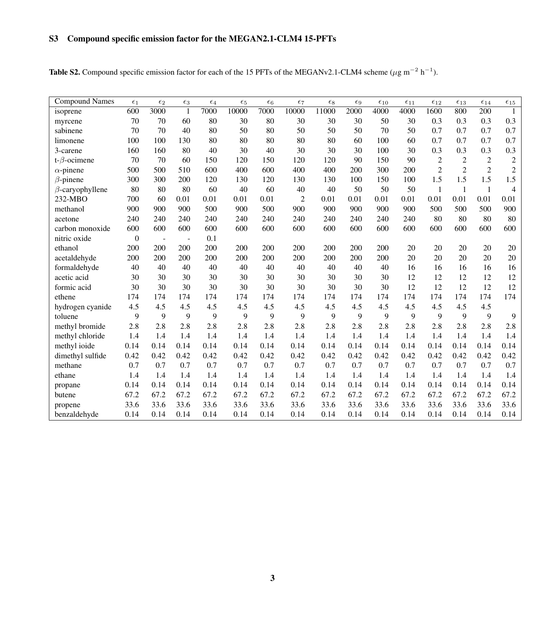## S3 Compound specific emission factor for the MEGAN2.1-CLM4 15-PFTs

|  |  | <b>Table S2.</b> Compound specific emission factor for each of the 15 PFTs of the MEGANv2.1-CLM4 scheme ( $\mu$ g m <sup>-2</sup> h <sup>-1</sup> ). |
|--|--|------------------------------------------------------------------------------------------------------------------------------------------------------|
|--|--|------------------------------------------------------------------------------------------------------------------------------------------------------|

| <b>Compound Names</b>  | $\epsilon_1$ | $\epsilon_2$             | $\epsilon_3$   | $\epsilon_4$ | $\epsilon_5$ | $\epsilon_6$ | $\epsilon$ 7   | $\epsilon_8$ | $\epsilon_9$ | $\epsilon_{10}$ | $\epsilon_{11}$ | $\epsilon_{12}$ | $\epsilon_{13}$ | $\epsilon_{14}$ | $\epsilon_{15}$ |
|------------------------|--------------|--------------------------|----------------|--------------|--------------|--------------|----------------|--------------|--------------|-----------------|-----------------|-----------------|-----------------|-----------------|-----------------|
| isoprene               | 600          | 3000                     | $\mathbf{1}$   | 7000         | 10000        | 7000         | 10000          | 11000        | 2000         | 4000            | 4000            | 1600            | 800             | 200             | $\mathbf{1}$    |
| myrcene                | 70           | 70                       | 60             | 80           | 30           | 80           | 30             | 30           | 30           | 50              | 30              | 0.3             | 0.3             | 0.3             | 0.3             |
| sabinene               | 70           | 70                       | 40             | 80           | 50           | 80           | 50             | 50           | 50           | 70              | 50              | 0.7             | 0.7             | 0.7             | 0.7             |
| limonene               | 100          | 100                      | 130            | 80           | 80           | 80           | 80             | 80           | 60           | 100             | 60              | 0.7             | 0.7             | 0.7             | 0.7             |
| 3-carene               | 160          | 160                      | 80             | 40           | 30           | 40           | 30             | 30           | 30           | 100             | 30              | 0.3             | 0.3             | 0.3             | 0.3             |
| t- $\beta$ -ocimene    | 70           | 70                       | 60             | 150          | 120          | 150          | 120            | 120          | 90           | 150             | 90              | $\mathbf{2}$    | $\mathbf{2}$    | $\overline{2}$  | $\mathbf{2}$    |
| $\alpha$ -pinene       | 500          | 500                      | 510            | 600          | 400          | 600          | 400            | 400          | 200          | 300             | 200             | $\overline{2}$  | $\overline{2}$  | $\overline{2}$  | $\mathbf{2}$    |
| $\beta$ -pinene        | 300          | 300                      | 200            | 120          | 130          | 120          | 130            | 130          | 100          | 150             | 100             | 1.5             | 1.5             | 1.5             | 1.5             |
| $\beta$ -caryophyllene | 80           | 80                       | 80             | 60           | 40           | 60           | 40             | 40           | 50           | 50              | 50              | $\mathbf{1}$    | $\mathbf{1}$    | $\mathbf{1}$    | $\overline{4}$  |
| 232-MBO                | 700          | 60                       | 0.01           | 0.01         | 0.01         | 0.01         | $\overline{2}$ | 0.01         | 0.01         | 0.01            | 0.01            | 0.01            | 0.01            | 0.01            | 0.01            |
| methanol               | 900          | 900                      | 900            | 500          | 900          | 500          | 900            | 900          | 900          | 900             | 900             | 500             | 500             | 500             | 900             |
| acetone                | 240          | 240                      | 240            | 240          | 240          | 240          | 240            | 240          | 240          | 240             | 240             | 80              | 80              | 80              | 80              |
| carbon monoxide        | 600          | 600                      | 600            | 600          | 600          | 600          | 600            | 600          | 600          | 600             | 600             | 600             | 600             | 600             | 600             |
| nitric oxide           | $\mathbf{0}$ | $\overline{\phantom{a}}$ | $\overline{a}$ | 0.1          |              |              |                |              |              |                 |                 |                 |                 |                 |                 |
| ethanol                | 200          | 200                      | 200            | 200          | 200          | 200          | 200            | 200          | 200          | 200             | 20              | 20              | 20              | 20              | 20              |
| acetaldehyde           | 200          | 200                      | 200            | 200          | 200          | 200          | 200            | 200          | 200          | 200             | 20              | 20              | 20              | 20              | 20              |
| formaldehyde           | 40           | 40                       | 40             | 40           | 40           | 40           | 40             | 40           | 40           | 40              | 16              | 16              | 16              | 16              | 16              |
| acetic acid            | 30           | 30                       | 30             | 30           | 30           | 30           | 30             | 30           | 30           | 30              | 12              | 12              | 12              | 12              | 12              |
| formic acid            | 30           | 30                       | 30             | 30           | 30           | 30           | 30             | 30           | 30           | 30              | 12              | 12              | 12              | 12              | 12              |
| ethene                 | 174          | 174                      | 174            | 174          | 174          | 174          | 174            | 174          | 174          | 174             | 174             | 174             | 174             | 174             | 174             |
| hydrogen cyanide       | 4.5          | 4.5                      | 4.5            | 4.5          | 4.5          | 4.5          | 4.5            | 4.5          | 4.5          | 4.5             | 4.5             | 4.5             | 4.5             | 4.5             |                 |
| toluene                | 9            | 9                        | 9              | 9            | 9            | 9            | 9              | 9            | 9            | 9               | 9               | 9               | 9               | 9               | 9               |
| methyl bromide         | 2.8          | 2.8                      | 2.8            | 2.8          | 2.8          | 2.8          | 2.8            | 2.8          | 2.8          | 2.8             | 2.8             | 2.8             | 2.8             | 2.8             | 2.8             |
| methyl chloride        | 1.4          | 1.4                      | 1.4            | 1.4          | 1.4          | 1.4          | 1.4            | 1.4          | 1.4          | 1.4             | 1.4             | 1.4             | 1.4             | 1.4             | 1.4             |
| methyl ioide           | 0.14         | 0.14                     | 0.14           | 0.14         | 0.14         | 0.14         | 0.14           | 0.14         | 0.14         | 0.14            | 0.14            | 0.14            | 0.14            | 0.14            | 0.14            |
| dimethyl sulfide       | 0.42         | 0.42                     | 0.42           | 0.42         | 0.42         | 0.42         | 0.42           | 0.42         | 0.42         | 0.42            | 0.42            | 0.42            | 0.42            | 0.42            | 0.42            |
| methane                | 0.7          | 0.7                      | 0.7            | 0.7          | 0.7          | 0.7          | 0.7            | 0.7          | 0.7          | 0.7             | 0.7             | 0.7             | 0.7             | 0.7             | 0.7             |
| ethane                 | 1.4          | 1.4                      | 1.4            | 1.4          | 1.4          | 1.4          | 1.4            | 1.4          | 1.4          | 1.4             | 1.4             | 1.4             | 1.4             | 1.4             | 1.4             |
| propane                | 0.14         | 0.14                     | 0.14           | 0.14         | 0.14         | 0.14         | 0.14           | 0.14         | 0.14         | 0.14            | 0.14            | 0.14            | 0.14            | 0.14            | 0.14            |
| butene                 | 67.2         | 67.2                     | 67.2           | 67.2         | 67.2         | 67.2         | 67.2           | 67.2         | 67.2         | 67.2            | 67.2            | 67.2            | 67.2            | 67.2            | 67.2            |
| propene                | 33.6         | 33.6                     | 33.6           | 33.6         | 33.6         | 33.6         | 33.6           | 33.6         | 33.6         | 33.6            | 33.6            | 33.6            | 33.6            | 33.6            | 33.6            |
| benzaldehyde           | 0.14         | 0.14                     | 0.14           | 0.14         | 0.14         | 0.14         | 0.14           | 0.14         | 0.14         | 0.14            | 0.14            | 0.14            | 0.14            | 0.14            | 0.14            |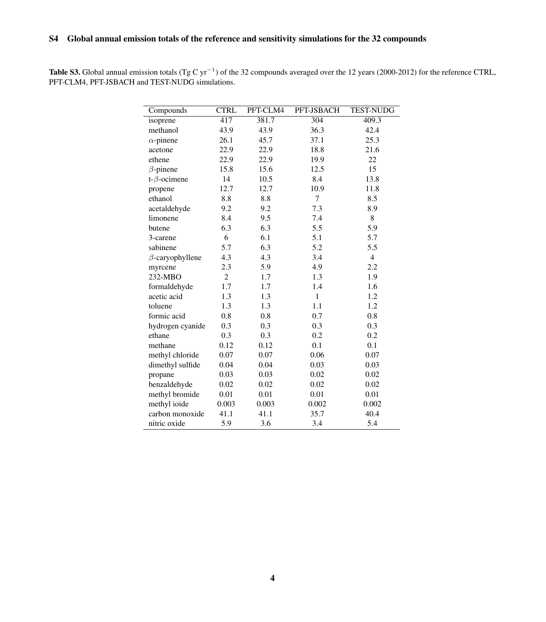### S4 Global annual emission totals of the reference and sensitivity simulations for the 32 compounds

**Table S3.** Global annual emission totals (Tg C yr<sup>-1</sup>) of the 32 compounds averaged over the 12 years (2000-2012) for the reference CTRL, PFT-CLM4, PFT-JSBACH and TEST-NUDG simulations.

| Compounds              | <b>CTRL</b>    | PFT-CLM4 | PFT-JSBACH   | <b>TEST-NUDG</b> |
|------------------------|----------------|----------|--------------|------------------|
| isoprene               | 417            | 381.7    | 304          | 409.3            |
| methanol               | 43.9           | 43.9     | 36.3         | 42.4             |
| $\alpha$ -pinene       | 26.1           | 45.7     | 37.1         | 25.3             |
| acetone                | 22.9           | 22.9     | 18.8         | 21.6             |
| ethene                 | 22.9           | 22.9     | 19.9         | 22               |
| $\beta$ -pinene        | 15.8           | 15.6     | 12.5         | 15               |
| t- $\beta$ -ocimene    | 14             | 10.5     | 8.4          | 13.8             |
| propene                | 12.7           | 12.7     | 10.9         | 11.8             |
| ethanol                | 8.8            | 8.8      | 7            | 8.5              |
| acetaldehyde           | 9.2            | 9.2      | 7.3          | 8.9              |
| limonene               | 8.4            | 9.5      | 7.4          | 8                |
| butene                 | 6.3            | 6.3      | 5.5          | 5.9              |
| 3-carene               | 6              | 6.1      | 5.1          | 5.7              |
| sabinene               | 5.7            | 6.3      | 5.2          | 5.5              |
| $\beta$ -caryophyllene | 4.3            | 4.3      | 3.4          | $\overline{4}$   |
| myrcene                | 2.3            | 5.9      | 4.9          | 2.2              |
| 232-MBO                | $\overline{c}$ | 1.7      | 1.3          | 1.9              |
| formaldehyde           | 1.7            | 1.7      | 1.4          | 1.6              |
| acetic acid            | 1.3            | 1.3      | $\mathbf{1}$ | 1.2              |
| toluene                | 1.3            | 1.3      | 1.1          | 1.2              |
| formic acid            | 0.8            | 0.8      | 0.7          | 0.8              |
| hydrogen cyanide       | 0.3            | 0.3      | 0.3          | 0.3              |
| ethane                 | 0.3            | 0.3      | 0.2          | 0.2              |
| methane                | 0.12           | 0.12     | 0.1          | 0.1              |
| methyl chloride        | 0.07           | 0.07     | 0.06         | 0.07             |
| dimethyl sulfide       | 0.04           | 0.04     | 0.03         | 0.03             |
| propane                | 0.03           | 0.03     | 0.02         | 0.02             |
| benzaldehyde           | 0.02           | 0.02     | 0.02         | 0.02             |
| methyl bromide         | 0.01           | 0.01     | 0.01         | 0.01             |
| methyl ioide           | 0.003          | 0.003    | 0.002        | 0.002            |
| carbon monoxide        | 41.1           | 41.1     | 35.7         | 40.4             |
| nitric oxide           | 5.9            | 3.6      | 3.4          | 5.4              |